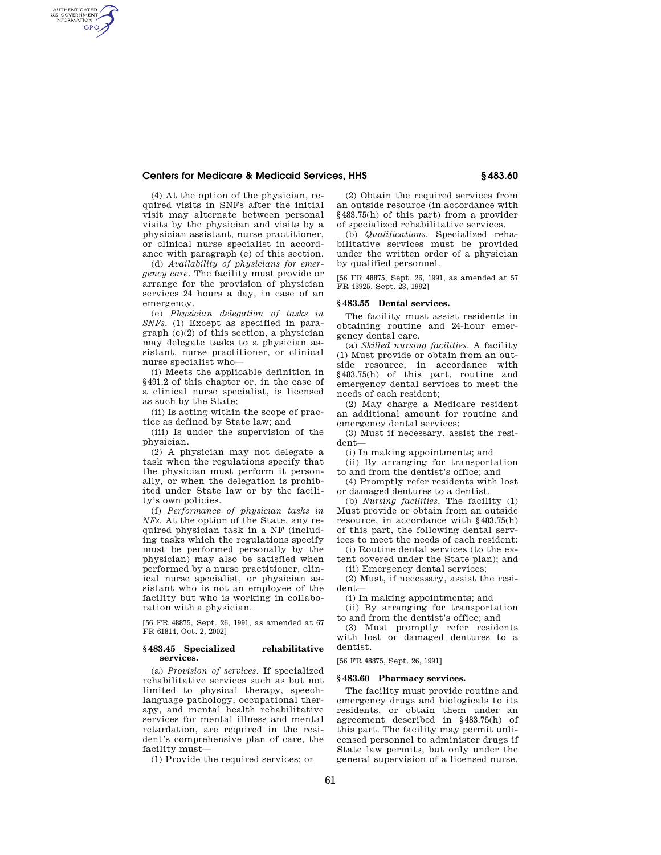# **Centers for Medicare & Medicaid Services, HHS § 483.60**

(4) At the option of the physician, required visits in SNFs after the initial visit may alternate between personal visits by the physician and visits by a physician assistant, nurse practitioner, or clinical nurse specialist in accordance with paragraph (e) of this section.

AUTHENTICATED<br>U.S. GOVERNMENT<br>INFORMATION **GPO** 

> (d) *Availability of physicians for emergency care.* The facility must provide or arrange for the provision of physician services 24 hours a day, in case of an emergency.

> (e) *Physician delegation of tasks in SNFs.* (1) Except as specified in paragraph (e)(2) of this section, a physician may delegate tasks to a physician assistant, nurse practitioner, or clinical nurse specialist who—

> (i) Meets the applicable definition in §491.2 of this chapter or, in the case of a clinical nurse specialist, is licensed as such by the State;

(ii) Is acting within the scope of practice as defined by State law; and

(iii) Is under the supervision of the physician.

(2) A physician may not delegate a task when the regulations specify that the physician must perform it personally, or when the delegation is prohibited under State law or by the facility's own policies.

(f) *Performance of physician tasks in NFs.* At the option of the State, any required physician task in a NF (including tasks which the regulations specify must be performed personally by the physician) may also be satisfied when performed by a nurse practitioner, clinical nurse specialist, or physician assistant who is not an employee of the facility but who is working in collaboration with a physician.

[56 FR 48875, Sept. 26, 1991, as amended at 67 FR 61814, Oct. 2, 2002]

#### **§ 483.45 Specialized rehabilitative services.**

(a) *Provision of services.* If specialized rehabilitative services such as but not limited to physical therapy, speechlanguage pathology, occupational therapy, and mental health rehabilitative services for mental illness and mental retardation, are required in the resident's comprehensive plan of care, the facility must—

(1) Provide the required services; or

(2) Obtain the required services from an outside resource (in accordance with §483.75(h) of this part) from a provider of specialized rehabilitative services.

(b) *Qualifications.* Specialized rehabilitative services must be provided under the written order of a physician by qualified personnel.

[56 FR 48875, Sept. 26, 1991, as amended at 57 FR 43925, Sept. 23, 1992]

#### **§ 483.55 Dental services.**

The facility must assist residents in obtaining routine and 24-hour emergency dental care.

(a) *Skilled nursing facilities.* A facility (1) Must provide or obtain from an outside resource, in accordance with §483.75(h) of this part, routine and emergency dental services to meet the needs of each resident;

(2) May charge a Medicare resident an additional amount for routine and emergency dental services;

(3) Must if necessary, assist the resident—

(i) In making appointments; and

(ii) By arranging for transportation to and from the dentist's office; and

(4) Promptly refer residents with lost or damaged dentures to a dentist.

(b) *Nursing facilities.* The facility (1) Must provide or obtain from an outside resource, in accordance with §483.75(h) of this part, the following dental services to meet the needs of each resident:

(i) Routine dental services (to the extent covered under the State plan); and

(ii) Emergency dental services;

(2) Must, if necessary, assist the resident—

(i) In making appointments; and

(ii) By arranging for transportation to and from the dentist's office; and

(3) Must promptly refer residents with lost or damaged dentures to a dentist.

[56 FR 48875, Sept. 26, 1991]

## **§ 483.60 Pharmacy services.**

The facility must provide routine and emergency drugs and biologicals to its residents, or obtain them under an agreement described in §483.75(h) of this part. The facility may permit unlicensed personnel to administer drugs if State law permits, but only under the general supervision of a licensed nurse.